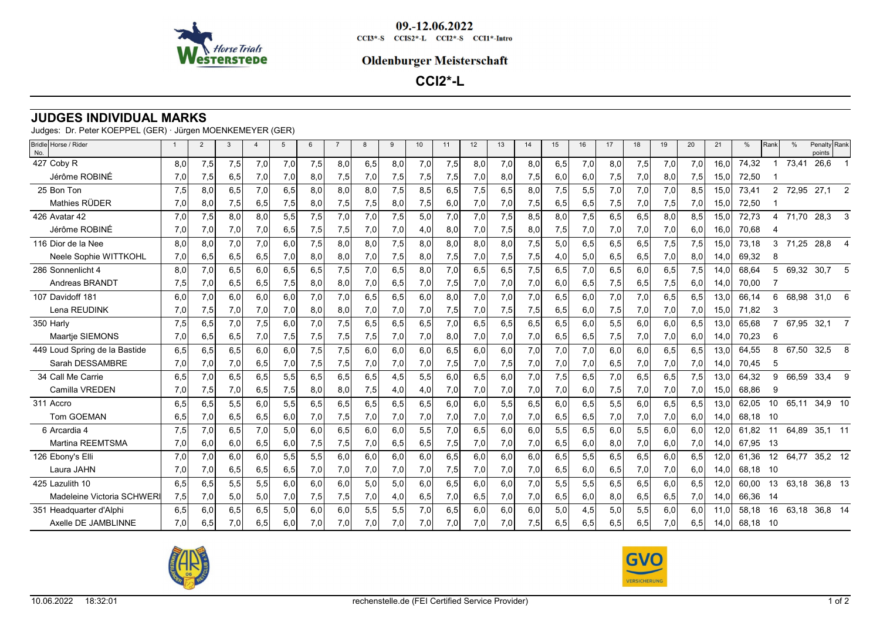

09.-12.06.2022  $CCI3*-S$   $CCI52*-L$   $CCI2*-S$   $CCI1*-Intro$ 

## **Oldenburger Meisterschaft**

**CCI2\*-L**

## **JUDGES INDIVIDUAL MARKS**

| Judges:  Dr. Peter KOEPPEL (GER) · Jürgen MOENKEMEYER (GER) _ |  |
|---------------------------------------------------------------|--|
|---------------------------------------------------------------|--|

| Bridle Horse / Rider<br>No.   | $\overline{1}$ | $\overline{2}$ | $\mathbf{3}$ | $\overline{4}$ | 5   | 6   | $\overline{7}$ | 8   | 9   | 10  | 11  | 12  | 13  | 14  | 15  | 16   | 17  | 18  | 19  | 20  | 21   | %     | Rank            | %     | Penalty Rank<br>points |                |
|-------------------------------|----------------|----------------|--------------|----------------|-----|-----|----------------|-----|-----|-----|-----|-----|-----|-----|-----|------|-----|-----|-----|-----|------|-------|-----------------|-------|------------------------|----------------|
| 427 Coby R                    | 8.0            | 7,5            | 7,5          | 7,0            | 7,0 | 7,5 | 8.0            | 6,5 | 8,0 | 7,0 | 7,5 | 8.0 | 7,0 | 8,0 | 6,5 | 7,0  | 8.0 | 7,5 | 7,0 | 7,0 | 16.0 | 74,32 |                 | 73,41 | 26,6                   |                |
| Jérôme ROBINÉ                 | 7,0            | 7,5            | 6,5          | 7,0            | 7,0 | 8,0 | 7,5            | 7,0 | 7,5 | 7,5 | 7,5 | 7,0 | 8,0 | 7,5 | 6,0 | 6,0  | 7,5 | 7,0 | 8,0 | 7,5 | 15.0 | 72,50 |                 |       |                        |                |
| 25 Bon Ton                    | 7,5            | 8,0            | 6,5          | 7,0            | 6,5 | 8,0 | 8.0            | 8,0 | 7,5 | 8,5 | 6,5 | 7,5 | 6,5 | 8,0 | 7,5 | 5,5  | 7,0 | 7,0 | 7,0 | 8,5 | 15,0 | 73,41 | $\overline{2}$  |       | 72,95 27,1             | 2              |
| Mathies RÜDER                 | 7,0            | 8,0            | 7,5          | 6,5            | 7,5 | 8,0 | 7,5            | 7,5 | 8,0 | 7,5 | 6,0 | 7,0 | 7,0 | 7,5 | 6,5 | 6,5  | 7,5 | 7,0 | 7,5 | 7,0 | 15.0 | 72,50 |                 |       |                        |                |
| 426 Avatar 42                 | 7,0            | 7,5            | 8,0          | 8,0            | 5,5 | 7,5 | 7,0            | 7,0 | 7,5 | 5,0 | 7,0 | 7,0 | 7,5 | 8,5 | 8,0 | 7,5  | 6,5 | 6,5 | 8,0 | 8,5 | 15,0 | 72,73 | 4               | 71,70 | 28,3                   | 3              |
| Jérôme ROBINÉ                 | 7,0            | 7,0            | 7,0          | 7,0            | 6,5 | 7,5 | 7,5            | 7,0 | 7,0 | 4,0 | 8,0 | 7,0 | 7,5 | 8,0 | 7,5 | 7,0  | 7,0 | 7,0 | 7,0 | 6,0 | 16.0 | 70,68 |                 |       |                        |                |
| 116 Dior de la Nee            | 8.0            | 8.0            | 7,0          | 7,0            | 6,0 | 7,5 | 8.0            | 8.0 | 7,5 | 8,0 | 8.0 | 8.0 | 8,0 | 7,5 | 5,0 | 6, 5 | 6,5 | 6,5 | 7,5 | 7,5 | 15.0 | 73,18 | 3               | 71,25 | 28,8                   |                |
| Neele Sophie WITTKOHL         | 7,0            | 6,5            | 6,5          | 6,5            | 7,0 | 8,0 | 8,0            | 7,0 | 7,5 | 8,0 | 7,5 | 7,0 | 7,5 | 7,5 | 4,0 | 5,0  | 6,5 | 6,5 | 7,0 | 8,0 | 14,0 | 69,32 | 8               |       |                        |                |
| 286 Sonnenlicht 4             | 8.0            | 7,0            | 6,5          | 6,0            | 6,5 | 6,5 | 7,5            | 7,0 | 6,5 | 8,0 | 7,0 | 6.5 | 6,5 | 7,5 | 6,5 | 7,0  | 6,5 | 6,0 | 6,5 | 7,5 | 14.0 | 68,64 | 5               | 69,32 | 30,7                   |                |
| Andreas BRANDT                | 7,5            | 7,0            | 6,5          | 6,5            | 7,5 | 8,0 | 8,0            | 7,0 | 6,5 | 7,0 | 7,5 | 7,0 | 7,0 | 7,0 | 6,0 | 6,5  | 7,5 | 6,5 | 7,5 | 6,0 | 14,0 | 70,00 |                 |       |                        |                |
| 107 Davidoff 181              | 6.0            | 7,0            | 6,0          | 6,0            | 6,0 | 7,0 | 7.0            | 6,5 | 6,5 | 6,0 | 8,0 | 7,0 | 7,0 | 7,0 | 6,5 | 6,0  | 7,0 | 7,0 | 6,5 | 6,5 | 13.0 | 66,14 | 6               | 68,98 | 31,0                   | 6              |
| Lena REUDINK                  | 7,0            | 7,5            | 7,0          | 7,0            | 7,0 | 8,0 | 8,0            | 7,0 | 7,0 | 7,0 | 7,5 | 7,0 | 7,5 | 7,5 | 6,5 | 6,0  | 7,5 | 7,0 | 7,0 | 7,0 | 15,0 | 71,82 | 3               |       |                        |                |
| 350 Harly                     | 7,5            | 6,5            | 7,0          | 7,5            | 6,0 | 7,0 | 7,5            | 6,5 | 6,5 | 6,5 | 7,0 | 6.5 | 6,5 | 6,5 | 6,5 | 6,0  | 5,5 | 6,0 | 6,0 | 6,5 | 13,0 | 65,68 |                 | 67,95 | 32,1                   | $\overline{7}$ |
| Maartje SIEMONS               | 7,0            | 6,5            | 6,5          | 7,0            | 7,5 | 7,5 | 7,5            | 7,5 | 7,0 | 7,0 | 8,0 | 7,0 | 7,0 | 7,0 | 6,5 | 6,5  | 7,5 | 7,0 | 7,0 | 6.0 | 14,0 | 70,23 | 6               |       |                        |                |
| 449 Loud Spring de la Bastide | 6,5            | 6,5            | 6,5          | 6,0            | 6,0 | 7,5 | 7,5            | 6,0 | 6,0 | 6,0 | 6,5 | 6,0 | 6,0 | 7,0 | 7,0 | 7,0  | 6,0 | 6,0 | 6,5 | 6,5 | 13.0 | 64,55 | 8               | 67.50 | 32,5                   | 8              |
| Sarah DESSAMBRE               | 7,0            | 7,0            | 7,0          | 6,5            | 7,0 | 7,5 | 7,5            | 7,0 | 7,0 | 7,0 | 7,5 | 7,0 | 7,5 | 7,0 | 7,0 | 7,0  | 6,5 | 7,0 | 7,0 | 7,0 | 14,0 | 70,45 | 5               |       |                        |                |
| 34 Call Me Carrie             | 6,5            | 7,0            | 6,5          | 6,5            | 5,5 | 6,5 | 6,5            | 6,5 | 4,5 | 5,5 | 6,0 | 6,5 | 6,0 | 7,0 | 7,5 | 6,5  | 7,0 | 6,5 | 6,5 | 7,5 | 13,0 | 64,32 | 9               | 66,59 | 33,4                   | -9             |
| Camilla VREDEN                | 7,0            | 7,5            | 7,0          | 6,5            | 7,5 | 8,0 | 8,0            | 7,5 | 4,0 | 4,0 | 7,0 | 7,0 | 7,0 | 7,0 | 7,0 | 6,0  | 7,5 | 7,0 | 7,0 | 7,0 | 15,0 | 68,86 | 9               |       |                        |                |
| 311 Accro                     | 6,5            | 6,5            | 5,5          | 6,0            | 5,5 | 6,5 | 6,5            | 6,5 | 6,5 | 6,5 | 6,0 | 6,0 | 5,5 | 6,5 | 6,0 | 6,5  | 5,5 | 6,0 | 6,5 | 6,5 | 13,0 | 62,05 | 10 <sup>°</sup> | 65,11 | 34,9 10                |                |
| <b>Tom GOEMAN</b>             | 6,5            | 7,0            | 6,5          | 6,5            | 6,0 | 7,0 | 7,5            | 7,0 | 7,0 | 7,0 | 7,0 | 7,0 | 7,0 | 7,0 | 6,5 | 6,5  | 7,0 | 7,0 | 7,0 | 6,0 | 14,0 | 68.18 | 10              |       |                        |                |
| 6 Arcardia 4                  | 7,5            | 7,0            | 6,5          | 7,0            | 5,0 | 6,0 | 6,5            | 6,0 | 6,0 | 5,5 | 7,0 | 6,5 | 6,0 | 6,0 | 5,5 | 6,5  | 6,0 | 5,5 | 6.0 | 6.0 | 12.0 | 61.82 | 11              | 64,89 | 35,1 11                |                |
| Martina REEMTSMA              | 7,0            | 6,0            | 6,0          | 6,5            | 6,0 | 7,5 | 7,5            | 7,0 | 6,5 | 6,5 | 7,5 | 7,0 | 7,0 | 7,0 | 6,5 | 6,0  | 8,0 | 7,0 | 6,0 | 7,0 | 14,0 | 67,95 | - 13            |       |                        |                |
| 126 Ebony's Elli              | 7,0            | 7,0            | 6,0          | 6,0            | 5,5 | 5,5 | 6,0            | 6,0 | 6,0 | 6,0 | 6,5 | 6,0 | 6,0 | 6,0 | 6,5 | 5,5  | 6,5 | 6,5 | 6,0 | 6,5 | 12,0 | 61.36 | 12              | 64,77 | 35,2 12                |                |
| Laura JAHN                    | 7,0            | 7,0            | 6,5          | 6,5            | 6,5 | 7,0 | 7,0            | 7,0 | 7,0 | 7,0 | 7,5 | 7,0 | 7,0 | 7,0 | 6,5 | 6,0  | 6,5 | 7,0 | 7,0 | 6,0 | 14,0 | 68,18 | -10             |       |                        |                |
| 425 Lazulith 10               | 6,5            | 6,5            | 5,5          | 5,5            | 6,0 | 6,0 | 6,0            | 5,0 | 5,0 | 6,0 | 6,5 | 6,0 | 6,0 | 7,0 | 5,5 | 5,5  | 6,5 | 6,5 | 6,0 | 6,5 | 12,0 | 60,00 | 13              | 63,18 | 36,8 13                |                |
| Madeleine Victoria SCHWER     | 7,5            | 7,0            | 5,0          | 5,0            | 7,0 | 7,5 | 7,5            | 7,0 | 4,0 | 6,5 | 7,0 | 6,5 | 7,0 | 7,0 | 6,5 | 6,0  | 8,0 | 6,5 | 6,5 | 7,0 | 14,0 | 66,36 | - 14            |       |                        |                |
| 351 Headquarter d'Alphi       | 6.5            | 6.0            | 6,5          | 6,5            | 5,0 | 6,0 | 6.0            | 5,5 | 5,5 | 7,0 | 6,5 | 6.0 | 6,0 | 6,0 | 5,0 | 4,5  | 5,0 | 5,5 | 6.0 | 6.0 | 11.0 | 58,18 | 16              | 63,18 | 36,8 14                |                |
| Axelle DE JAMBLINNE           | 7,0            | 6,5            | 7,0          | 6,5            | 6,0 | 7,0 | 7,0            | 7,0 | 7,0 | 7,0 | 7,0 | 7.0 | 7,0 | 7,5 | 6,5 | 6,5  | 6,5 | 6,5 | 7,0 | 6,5 | 14,0 | 68,18 | 10              |       |                        |                |